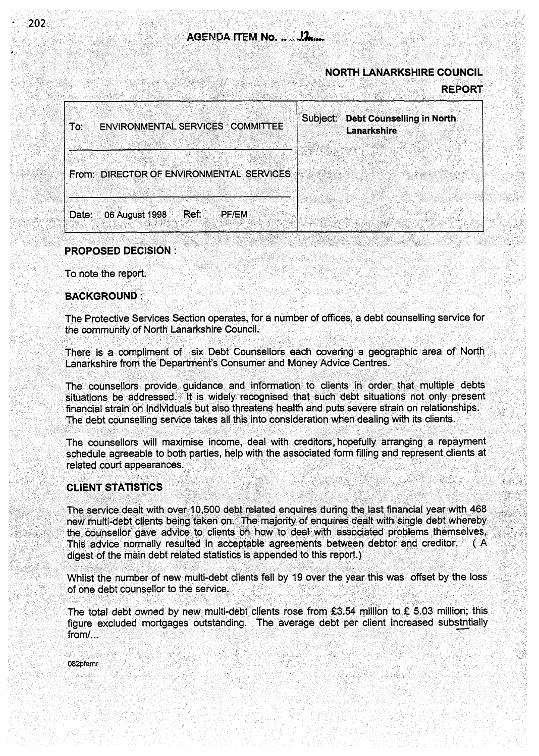# **NORTH LANARKSHIRE COUNCIL**

**REPORT** 

| <b>ENVIRONMENTAL SERVICES COMMITTEE</b><br>∣ To: | <b>Debt Counselling in North</b><br>Subject:<br><b>Lanarkshire</b> |
|--------------------------------------------------|--------------------------------------------------------------------|
|                                                  |                                                                    |
| From: DIRECTOR OF ENVIRONMENTAL SERVICES         |                                                                    |
| 06 August 1998 Ref:<br><b>PF/EM</b>              |                                                                    |
| Date:                                            |                                                                    |

### **PROPOSED DECISION:**

To note the report.

# **BACKGROUND:**

The Protective Services Section operates, for a number of offices, a debt counselling service for the community of North Lanarkshire Council.

There is a compliment of six Debt Counsellors each covering a geographic area of North Lanarkshire from the Department's Consumer and Money Advice Centres.

The counsellors provide guidance and information to clients in order that multiple debts situations be addressed. It is widely recognised that such debt situations not only present financial strain on individuals but also threatens health and puts severe strain on relationships. The debt counselling service takes all this into consideration when dealing with its clients.

The counsellors will maximise income, deal with creditors, hopefully arranging a repayment schedule agreeable to both parties, help with the associated form filling and represent clients at related court appearances.

## **CLIENT STATISTICS**

The service dealt with over 10,500 debt related enquires during the last financial year with 468 new multi-debt clients being taken on. The majority of enquires dealt with single debt whereby the counsellor gave advice to clients on how to deal with associated problems themselves. This advice normally resulted in acceptable agreements between debtor and creditor. ( A digest of the main debt related statistics is appended to this report.)

Whilst the number of new multi-debt clients fell by 19 over the year this was offset by the loss of one debt counsellor to the service.

The total debt owned by new multi-debt clients rose from £3.54 million to £ 5.03 million; this figure excluded mortgages outstanding. The average debt per client increased substntially from/...

082pfemr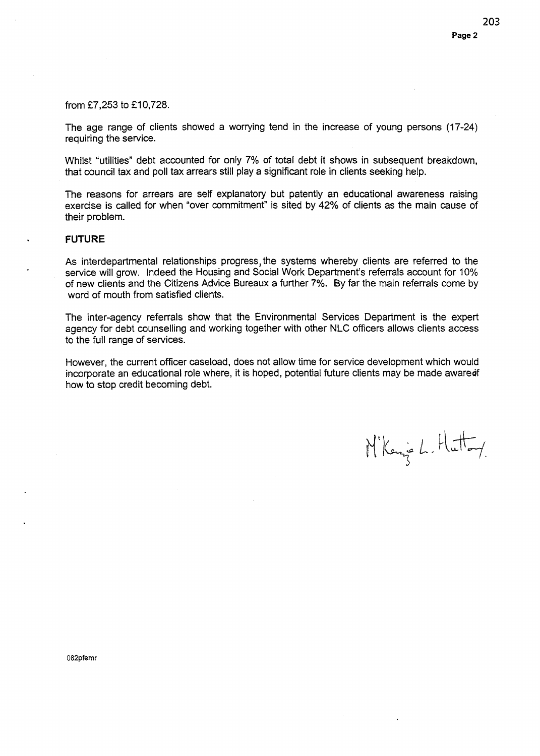### from £7,253 to £10,728.

The age range of clients showed a worrying tend in the increase of young persons (17-24) requiring the service.

Whilst "utilities" debt accounted for only 7% of total debt it shows in subsequent breakdown. that council tax and poll tax arrears still play a significant role in clients seeking help.

The reasons for arrears are self explanatory but patently an educational awareness raising exercise is called for when "over commitment" is sited by 42% of clients as the main cause of their problem.

## **FUTURE**

As interdepartmental relationships progress, the systems whereby clients are referred to the service will grow. Indeed the Housing and Social Work Department's referrals account for 10% of new clients and the Citizens Advice Bureaux a further 7%. By far the main referrals come by word of mouth from satisfied clients.

The inter-agency referrals show that the Environmental Services Department is the expert agency for debt counselling and working together with other NLC officers allows clients access to the full range of services.

However, the current officer caseload, does not allow time for service development which would incorporate an educational role where, it is hoped, potential future clients may be made aware of how to stop credit becoming debt.

Nikenje L. Huttoy

082pfemr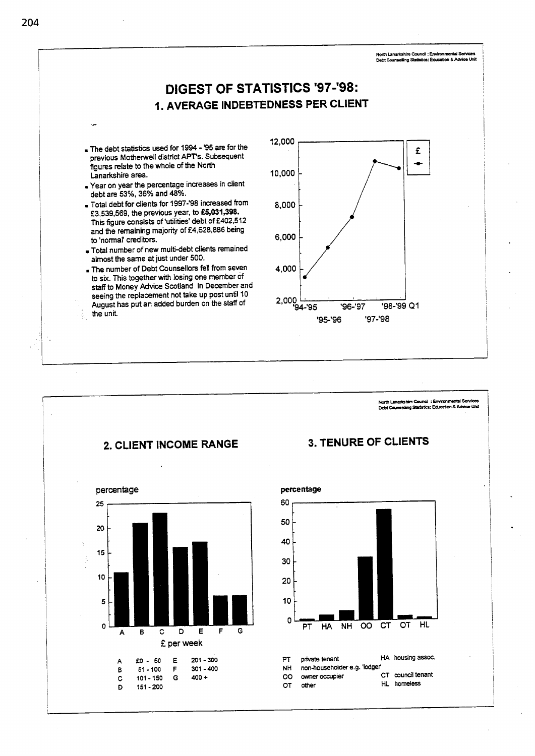



**204**